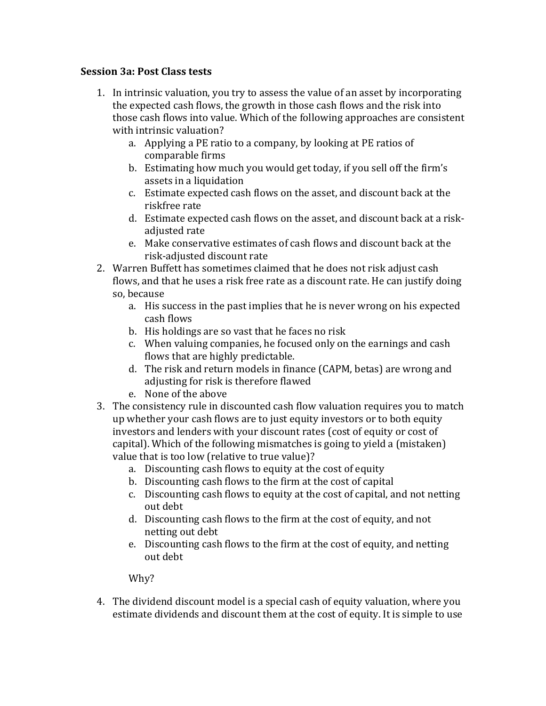## **Session 3a: Post Class tests**

- 1. In intrinsic valuation, you try to assess the value of an asset by incorporating the expected cash flows, the growth in those cash flows and the risk into those cash flows into value. Which of the following approaches are consistent with intrinsic valuation?
	- a. Applying a PE ratio to a company, by looking at PE ratios of comparable firms
	- b. Estimating how much you would get today, if you sell off the firm's assets in a liquidation
	- c. Estimate expected cash flows on the asset, and discount back at the riskfree rate
	- d. Estimate expected cash flows on the asset, and discount back at a riskadjusted rate
	- e. Make conservative estimates of cash flows and discount back at the risk-adjusted discount rate
- 2. Warren Buffett has sometimes claimed that he does not risk adjust cash flows, and that he uses a risk free rate as a discount rate. He can justify doing so, because
	- a. His success in the past implies that he is never wrong on his expected cash flows
	- b. His holdings are so vast that he faces no risk
	- c. When valuing companies, he focused only on the earnings and cash flows that are highly predictable.
	- d. The risk and return models in finance (CAPM, betas) are wrong and adjusting for risk is therefore flawed
	- e. None of the above
- 3. The consistency rule in discounted cash flow valuation requires you to match up whether your cash flows are to just equity investors or to both equity investors and lenders with your discount rates (cost of equity or cost of capital). Which of the following mismatches is going to yield a (mistaken) value that is too low (relative to true value)?
	- a. Discounting cash flows to equity at the cost of equity
	- b. Discounting cash flows to the firm at the cost of capital
	- c. Discounting cash flows to equity at the cost of capital, and not netting out debt
	- d. Discounting cash flows to the firm at the cost of equity, and not netting out debt
	- e. Discounting cash flows to the firm at the cost of equity, and netting out debt

Why?

4. The dividend discount model is a special cash of equity valuation, where you estimate dividends and discount them at the cost of equity. It is simple to use